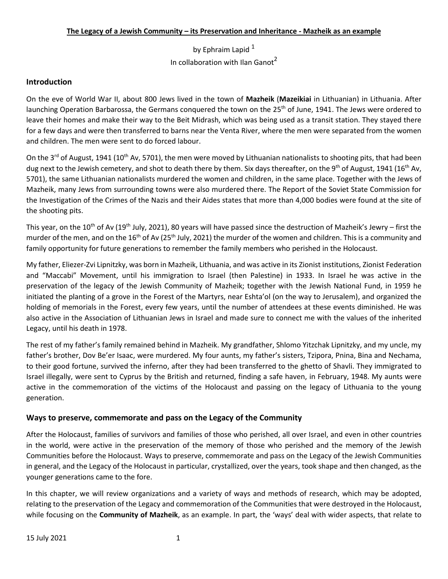by Ephraim Lapid<sup>1</sup> In collaboration with Ilan Ganot<sup>2</sup>

# **Introduction**

On the eve of World War II, about 800 Jews lived in the town of **Mazheik** (**Mazeikiai** in Lithuanian) in Lithuania. After launching Operation Barbarossa, the Germans conquered the town on the 25<sup>th</sup> of June, 1941. The Jews were ordered to leave their homes and make their way to the Beit Midrash, which was being used as a transit station. They stayed there for a few days and were then transferred to barns near the Venta River, where the men were separated from the women and children. The men were sent to do forced labour.

On the 3<sup>rd</sup> of August, 1941 (10<sup>th</sup> Av, 5701), the men were moved by Lithuanian nationalists to shooting pits, that had been dug next to the Jewish cemetery, and shot to death there by them. Six days thereafter, on the 9<sup>th</sup> of August, 1941 (16<sup>th</sup> Av, 5701), the same Lithuanian nationalists murdered the women and children, in the same place. Together with the Jews of Mazheik, many Jews from surrounding towns were also murdered there. The Report of the Soviet State Commission for the Investigation of the Crimes of the Nazis and their Aides states that more than 4,000 bodies were found at the site of the shooting pits.

This year, on the 10<sup>th</sup> of Av (19<sup>th</sup> July, 2021), 80 years will have passed since the destruction of Mazheik's Jewry – first the murder of the men, and on the 16<sup>th</sup> of Av (25<sup>th</sup> July, 2021) the murder of the women and children. This is a community and family opportunity for future generations to remember the family members who perished in the Holocaust.

My father, Eliezer-Zvi Lipnitzky, was born in Mazheik, Lithuania, and was active in its Zionist institutions, Zionist Federation and "Maccabi" Movement, until his immigration to Israel (then Palestine) in 1933. In Israel he was active in the preservation of the legacy of the Jewish Community of Mazheik; together with the Jewish National Fund, in 1959 he initiated the planting of a grove in the Forest of the Martyrs, near Eshta'ol (on the way to Jerusalem), and organized the holding of memorials in the Forest, every few years, until the number of attendees at these events diminished. He was also active in the Association of Lithuanian Jews in Israel and made sure to connect me with the values of the inherited Legacy, until his death in 1978.

The rest of my father's family remained behind in Mazheik. My grandfather, Shlomo Yitzchak Lipnitzky, and my uncle, my father's brother, Dov Be'er Isaac, were murdered. My four aunts, my father's sisters, Tzipora, Pnina, Bina and Nechama, to their good fortune, survived the inferno, after they had been transferred to the ghetto of Shavli. They immigrated to Israel illegally, were sent to Cyprus by the British and returned, finding a safe haven, in February, 1948. My aunts were active in the commemoration of the victims of the Holocaust and passing on the legacy of Lithuania to the young generation.

# **Ways to preserve, commemorate and pass on the Legacy of the Community**

After the Holocaust, families of survivors and families of those who perished, all over Israel, and even in other countries in the world, were active in the preservation of the memory of those who perished and the memory of the Jewish Communities before the Holocaust. Ways to preserve, commemorate and pass on the Legacy of the Jewish Communities in general, and the Legacy of the Holocaust in particular, crystallized, over the years, took shape and then changed, as the younger generations came to the fore.

In this chapter, we will review organizations and a variety of ways and methods of research, which may be adopted, relating to the preservation of the Legacy and commemoration of the Communities that were destroyed in the Holocaust, while focusing on the **Community of Mazheik**, as an example. In part, the 'ways' deal with wider aspects, that relate to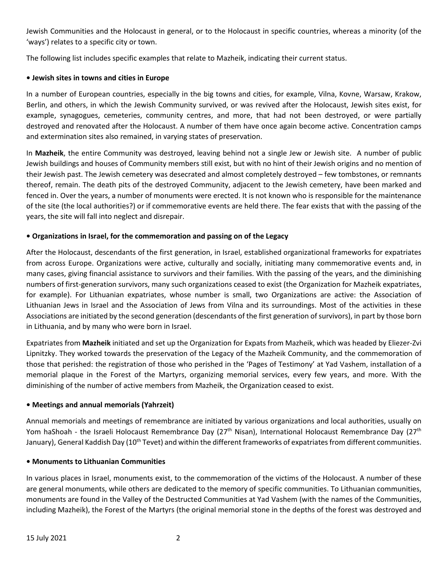Jewish Communities and the Holocaust in general, or to the Holocaust in specific countries, whereas a minority (of the 'ways') relates to a specific city or town.

The following list includes specific examples that relate to Mazheik, indicating their current status.

# **• Jewish sites in towns and cities in Europe**

In a number of European countries, especially in the big towns and cities, for example, Vilna, Kovne, Warsaw, Krakow, Berlin, and others, in which the Jewish Community survived, or was revived after the Holocaust, Jewish sites exist, for example, synagogues, cemeteries, community centres, and more, that had not been destroyed, or were partially destroyed and renovated after the Holocaust. A number of them have once again become active. Concentration camps and extermination sites also remained, in varying states of preservation.

In **Mazheik**, the entire Community was destroyed, leaving behind not a single Jew or Jewish site. A number of public Jewish buildings and houses of Community members still exist, but with no hint of their Jewish origins and no mention of their Jewish past. The Jewish cemetery was desecrated and almost completely destroyed – few tombstones, or remnants thereof, remain. The death pits of the destroyed Community, adjacent to the Jewish cemetery, have been marked and fenced in. Over the years, a number of monuments were erected. It is not known who is responsible for the maintenance of the site (the local authorities?) or if commemorative events are held there. The fear exists that with the passing of the years, the site will fall into neglect and disrepair.

# **• Organizations in Israel, for the commemoration and passing on of the Legacy**

After the Holocaust, descendants of the first generation, in Israel, established organizational frameworks for expatriates from across Europe. Organizations were active, culturally and socially, initiating many commemorative events and, in many cases, giving financial assistance to survivors and their families. With the passing of the years, and the diminishing numbers of first-generation survivors, many such organizations ceased to exist (the Organization for Mazheik expatriates, for example). For Lithuanian expatriates, whose number is small, two Organizations are active: the Association of Lithuanian Jews in Israel and the Association of Jews from Vilna and its surroundings. Most of the activities in these Associations are initiated by the second generation (descendants of the first generation of survivors), in part by those born in Lithuania, and by many who were born in Israel.

Expatriates from **Mazheik** initiated and set up the Organization for Expats from Mazheik, which was headed by Eliezer-Zvi Lipnitzky. They worked towards the preservation of the Legacy of the Mazheik Community, and the commemoration of those that perished: the registration of those who perished in the 'Pages of Testimony' at Yad Vashem, installation of a memorial plaque in the Forest of the Martyrs, organizing memorial services, every few years, and more. With the diminishing of the number of active members from Mazheik, the Organization ceased to exist.

# **• Meetings and annual memorials (Yahrzeit)**

Annual memorials and meetings of remembrance are initiated by various organizations and local authorities, usually on Yom haShoah - the Israeli Holocaust Remembrance Day (27<sup>th</sup> Nisan), International Holocaust Remembrance Day (27<sup>th</sup> January), General Kaddish Day (10<sup>th</sup> Tevet) and within the different frameworks of expatriates from different communities.

# **• Monuments to Lithuanian Communities**

In various places in Israel, monuments exist, to the commemoration of the victims of the Holocaust. A number of these are general monuments, while others are dedicated to the memory of specific communities. To Lithuanian communities, monuments are found in the Valley of the Destructed Communities at Yad Vashem (with the names of the Communities, including Mazheik), the Forest of the Martyrs (the original memorial stone in the depths of the forest was destroyed and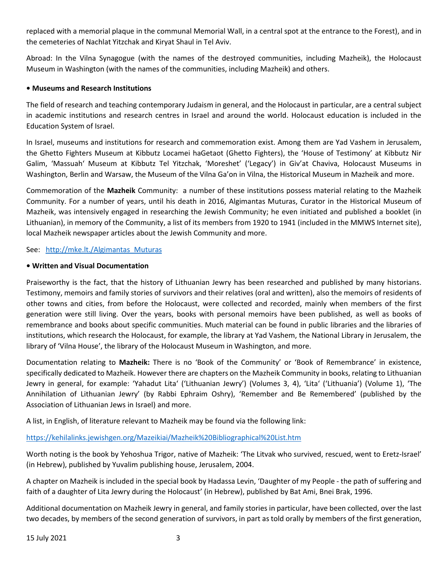replaced with a memorial plaque in the communal Memorial Wall, in a central spot at the entrance to the Forest), and in the cemeteries of Nachlat Yitzchak and Kiryat Shaul in Tel Aviv.

Abroad: In the Vilna Synagogue (with the names of the destroyed communities, including Mazheik), the Holocaust Museum in Washington (with the names of the communities, including Mazheik) and others.

### **• Museums and Research Institutions**

The field of research and teaching contemporary Judaism in general, and the Holocaust in particular, are a central subject in academic institutions and research centres in Israel and around the world. Holocaust education is included in the Education System of Israel.

In Israel, museums and institutions for research and commemoration exist. Among them are Yad Vashem in Jerusalem, the Ghetto Fighters Museum at Kibbutz Locamei haGetaot (Ghetto Fighters), the 'House of Testimony' at Kibbutz Nir Galim, 'Massuah' Museum at Kibbutz Tel Yitzchak, 'Moreshet' ('Legacy') in Giv'at Chaviva, Holocaust Museums in Washington, Berlin and Warsaw, the Museum of the Vilna Ga'on in Vilna, the Historical Museum in Mazheik and more.

Commemoration of the **Mazheik** Community: a number of these institutions possess material relating to the Mazheik Community. For a number of years, until his death in 2016, Algimantas Muturas, Curator in the Historical Museum of Mazheik, was intensively engaged in researching the Jewish Community; he even initiated and published a booklet (in Lithuanian), in memory of the Community, a list of its members from 1920 to 1941 (included in the MMWS Internet site), local Mazheik newspaper articles about the Jewish Community and more.

#### See: [http://mke.lt./Algimantas\\_Muturas](http://mke.lt./Algimantas_Muturas)

### **• Written and Visual Documentation**

Praiseworthy is the fact, that the history of Lithuanian Jewry has been researched and published by many historians. Testimony, memoirs and family stories of survivors and their relatives (oral and written), also the memoirs of residents of other towns and cities, from before the Holocaust, were collected and recorded, mainly when members of the first generation were still living. Over the years, books with personal memoirs have been published, as well as books of remembrance and books about specific communities. Much material can be found in public libraries and the libraries of institutions, which research the Holocaust, for example, the library at Yad Vashem, the National Library in Jerusalem, the library of 'Vilna House', the library of the Holocaust Museum in Washington, and more.

Documentation relating to **Mazheik:** There is no 'Book of the Community' or 'Book of Remembrance' in existence, specifically dedicated to Mazheik. However there are chapters on the Mazheik Community in books, relating to Lithuanian Jewry in general, for example: 'Yahadut Lita' ('Lithuanian Jewry') (Volumes 3, 4), 'Lita' ('Lithuania') (Volume 1), 'The Annihilation of Lithuanian Jewry' (by Rabbi Ephraim Oshry), 'Remember and Be Remembered' (published by the Association of Lithuanian Jews in Israel) and more.

A list, in English, of literature relevant to Mazheik may be found via the following link:

# <https://kehilalinks.jewishgen.org/Mazeikiai/Mazheik%20Bibliographical%20List.htm>

Worth noting is the book by Yehoshua Trigor, native of Mazheik: 'The Litvak who survived, rescued, went to Eretz-Israel' (in Hebrew), published by Yuvalim publishing house, Jerusalem, 2004.

A chapter on Mazheik is included in the special book by Hadassa Levin, 'Daughter of my People - the path of suffering and faith of a daughter of Lita Jewry during the Holocaust' (in Hebrew), published by Bat Ami, Bnei Brak, 1996.

Additional documentation on Mazheik Jewry in general, and family stories in particular, have been collected, over the last two decades, by members of the second generation of survivors, in part as told orally by members of the first generation,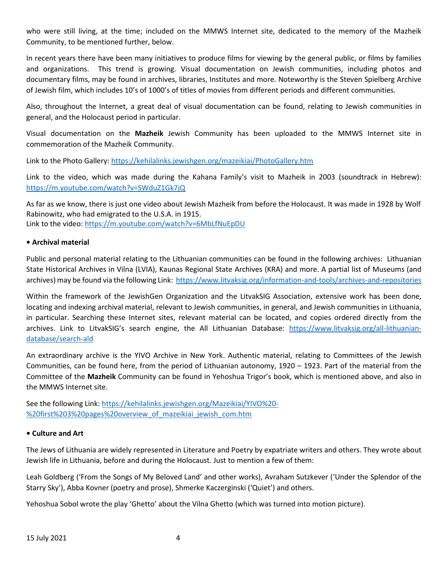who were still living, at the time; included on the MMWS Internet site, dedicated to the memory of the Mazheik Community, to be mentioned further, below.

In recent years there have been many initiatives to produce films for viewing by the general public, or films by families and organizations. This trend is growing. Visual documentation on Jewish communities, including photos and documentary films, may be found in archives, libraries, Institutes and more. Noteworthy is the Steven Spielberg Archive of Jewish film, which includes 10's of 1000's of titles of movies from different periods and different communities.

Also, throughout the Internet, a great deal of visual documentation can be found, relating to Jewish communities in general, and the Holocaust period in particular.

Visual documentation on the **Mazheik** Jewish Community has been uploaded to the MMWS Internet site in commemoration of the Mazheik Community.

Link to the Photo Gallery: <https://kehilalinks.jewishgen.org/mazeikiai/PhotoGallery.htm>

Link to the video, which was made during the Kahana Family's visit to Mazheik in 2003 (soundtrack in Hebrew): <https://m.youtube.com/watch?v=SWduZ1Gk7jQ>

As far as we know, there is just one video about Jewish Mazheik from before the Holocaust. It was made in 1928 by Wolf Rabinowitz, who had emigrated to the U.S.A. in 1915. Link to the video:<https://m.youtube.com/watch?v=6MbLfNuEpDU>

### **• Archival material**

Public and personal material relating to the Lithuanian communities can be found in the following archives: Lithuanian State Historical Archives in Vilna (LVIA), Kaunas Regional State Archives (KRA) and more. A partial list of Museums (and archives) may be found via the following Link:<https://www.litvaksig.org/information-and-tools/archives-and-repositories>

Within the framework of the JewishGen Organization and the LitvakSIG Association, extensive work has been done, locating and indexing archival material, relevant to Jewish communities, in general, and Jewish communities in Lithuania, in particular. Searching these Internet sites, relevant material can be located, and copies ordered directly from the archives. Link to LitvakSIG's search engine, the All Lithuanian Database: [https://www.litvaksig.org/all-lithuanian](https://www.litvaksig.org/all-lithuanian-database/search-ald)[database/search-ald](https://www.litvaksig.org/all-lithuanian-database/search-ald)

An extraordinary archive is the YIVO Archive in New York. Authentic material, relating to Committees of the Jewish Communities, can be found here, from the period of Lithuanian autonomy, 1920 – 1923. Part of the material from the Committee of the **Mazheik** Community can be found in Yehoshua Trigor's book, which is mentioned above, and also in the MMWS Internet site.

See the following Link: [https://kehilalinks.jewishgen.org/Mazeikiai/YIVO%20-](https://kehilalinks.jewishgen.org/Mazeikiai/YIVO%20-%20first%203%20pages%20overview_of_mazeikiai_jewish_com.htm) [%20first%203%20pages%20overview\\_of\\_mazeikiai\\_jewish\\_com.htm](https://kehilalinks.jewishgen.org/Mazeikiai/YIVO%20-%20first%203%20pages%20overview_of_mazeikiai_jewish_com.htm)

#### **• Culture and Art**

The Jews of Lithuania are widely represented in Literature and Poetry by expatriate writers and others. They wrote about Jewish life in Lithuania, before and during the Holocaust. Just to mention a few of them:

Leah Goldberg ('From the Songs of My Beloved Land' and other works), Avraham Sutzkever ('Under the Splendor of the Starry Sky'), Abba Kovner (poetry and prose), Shmerke Kaczerginski ('Quiet') and others.

Yehoshua Sobol wrote the play 'Ghetto' about the Vilna Ghetto (which was turned into motion picture).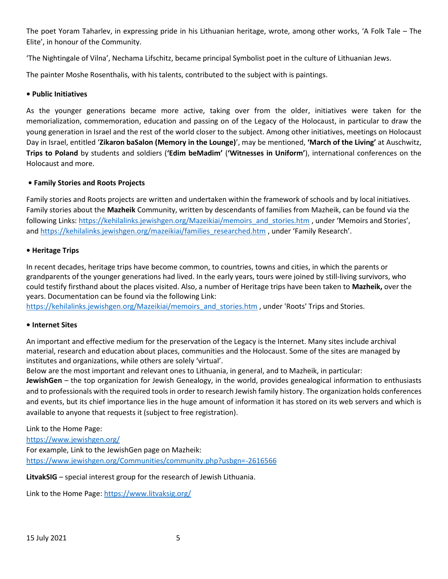The poet Yoram Taharlev, in expressing pride in his Lithuanian heritage, wrote, among other works, 'A Folk Tale – The Elite', in honour of the Community.

'The Nightingale of Vilna', Nechama Lifschitz, became principal Symbolist poet in the culture of Lithuanian Jews.

The painter Moshe Rosenthalis, with his talents, contributed to the subject with is paintings.

### **• Public Initiatives**

As the younger generations became more active, taking over from the older, initiatives were taken for the memorialization, commemoration, education and passing on of the Legacy of the Holocaust, in particular to draw the young generation in Israel and the rest of the world closer to the subject. Among other initiatives, meetings on Holocaust Day in Israel, entitled '**Zikaron baSalon (Memory in the Lounge)**', may be mentioned, **'March of the Living'** at Auschwitz, **Trips to Poland** by students and soldiers (**'Edim beMadim'** (**'Witnesses in Uniform'**), international conferences on the Holocaust and more.

# **• Family Stories and Roots Projects**

Family stories and Roots projects are written and undertaken within the framework of schools and by local initiatives. Family stories about the **Mazheik** Community, written by descendants of families from Mazheik, can be found via the following Links[: https://kehilalinks.jewishgen.org/Mazeikiai/memoirs\\_and\\_stories.htm](https://kehilalinks.jewishgen.org/Mazeikiai/memoirs_and_stories.htm) , under 'Memoirs and Stories', and [https://kehilalinks.jewishgen.org/mazeikiai/families\\_researched.htm](https://kehilalinks.jewishgen.org/mazeikiai/families_researched.htm) , under 'Family Research'.

#### **• Heritage Trips**

In recent decades, heritage trips have become common, to countries, towns and cities, in which the parents or grandparents of the younger generations had lived. In the early years, tours were joined by still-living survivors, who could testify firsthand about the places visited. Also, a number of Heritage trips have been taken to **Mazheik,** over the years. Documentation can be found via the following Link:

[https://kehilalinks.jewishgen.org/Mazeikiai/memoirs\\_and\\_stories.htm](https://kehilalinks.jewishgen.org/Mazeikiai/memoirs_and_stories.htm) , under 'Roots' Trips and Stories.

#### **• Internet Sites**

An important and effective medium for the preservation of the Legacy is the Internet. Many sites include archival material, research and education about places, communities and the Holocaust. Some of the sites are managed by institutes and organizations, while others are solely 'virtual'.

Below are the most important and relevant ones to Lithuania, in general, and to Mazheik, in particular:

**JewishGen** – the top organization for Jewish Genealogy, in the world, provides genealogical information to enthusiasts and to professionals with the required tools in order to research Jewish family history. The organization holds conferences and events, but its chief importance lies in the huge amount of information it has stored on its web servers and which is available to anyone that requests it (subject to free registration).

Link to the Home Page:

<https://www.jewishgen.org/> For example, Link to the JewishGen page on Mazheik: <https://www.jewishgen.org/Communities/community.php?usbgn=-2616566>

**LitvakSIG** – special interest group for the research of Jewish Lithuania.

Link to the Home Page:<https://www.litvaksig.org/>